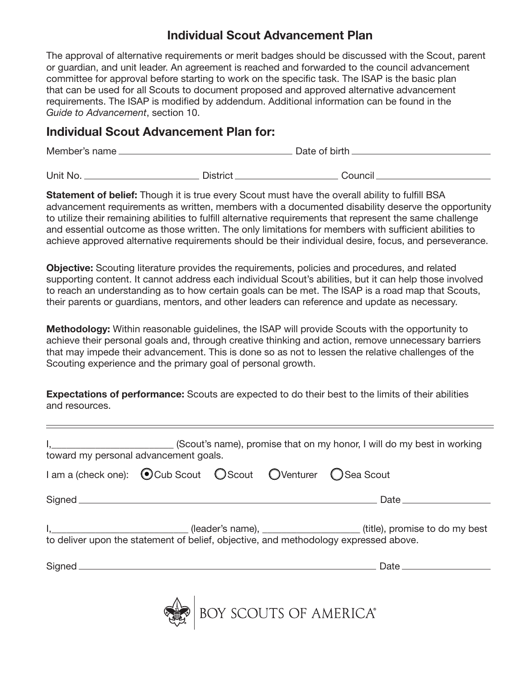## Individual Scout Advancement Plan

The approval of alternative requirements or merit badges should be discussed with the Scout, parent or guardian, and unit leader. An agreement is reached and forwarded to the council advancement committee for approval before starting to work on the specific task. The ISAP is the basic plan that can be used for all Scouts to document proposed and approved alternative advancement requirements. The ISAP is modified by addendum. Additional information can be found in the *Guide to Advancement*, section 10.

## Individual Scout Advancement Plan for:

| Member's name. |                 | Date of birth. |  |
|----------------|-----------------|----------------|--|
| Unit No.       | <b>District</b> | Council        |  |

**Statement of belief:** Though it is true every Scout must have the overall ability to fulfill BSA advancement requirements as written, members with a documented disability deserve the opportunity to utilize their remaining abilities to fulfill alternative requirements that represent the same challenge and essential outcome as those written. The only limitations for members with sufficient abilities to achieve approved alternative requirements should be their individual desire, focus, and perseverance.

Objective: Scouting literature provides the requirements, policies and procedures, and related supporting content. It cannot address each individual Scout's abilities, but it can help those involved to reach an understanding as to how certain goals can be met. The ISAP is a road map that Scouts, their parents or guardians, mentors, and other leaders can reference and update as necessary.

Methodology: Within reasonable guidelines, the ISAP will provide Scouts with the opportunity to achieve their personal goals and, through creative thinking and action, remove unnecessary barriers that may impede their advancement. This is done so as not to lessen the relative challenges of the Scouting experience and the primary goal of personal growth.

Expectations of performance: Scouts are expected to do their best to the limits of their abilities and resources.

| toward my personal advancement goals. |  |                        |                                                                                                                                                                                                    |
|---------------------------------------|--|------------------------|----------------------------------------------------------------------------------------------------------------------------------------------------------------------------------------------------|
|                                       |  |                        |                                                                                                                                                                                                    |
|                                       |  |                        |                                                                                                                                                                                                    |
|                                       |  |                        | I, _______________________________(leader's name), _________________________(title), promise to do my best<br>to deliver upon the statement of belief, objective, and methodology expressed above. |
|                                       |  |                        |                                                                                                                                                                                                    |
|                                       |  | BOY SCOUTS OF AMERICA® |                                                                                                                                                                                                    |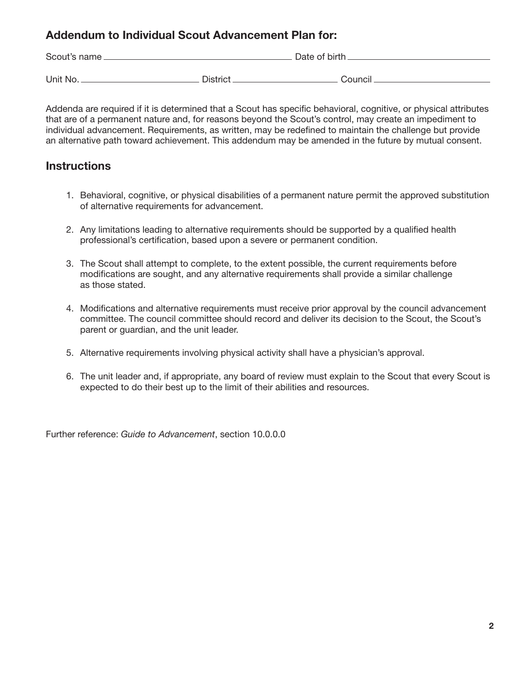#### Addendum to Individual Scout Advancement Plan for:

| Scout's name |                 | Date of birth. |  |
|--------------|-----------------|----------------|--|
| Unit No.     | <b>District</b> | Council        |  |

Addenda are required if it is determined that a Scout has specific behavioral, cognitive, or physical attributes that are of a permanent nature and, for reasons beyond the Scout's control, may create an impediment to individual advancement. Requirements, as written, may be redefined to maintain the challenge but provide an alternative path toward achievement. This addendum may be amended in the future by mutual consent.

## **Instructions**

- 1. Behavioral, cognitive, or physical disabilities of a permanent nature permit the approved substitution of alternative requirements for advancement.
- 2. Any limitations leading to alternative requirements should be supported by a qualified health professional's certification, based upon a severe or permanent condition.
- 3. The Scout shall attempt to complete, to the extent possible, the current requirements before modifications are sought, and any alternative requirements shall provide a similar challenge as those stated.
- 4. Modifications and alternative requirements must receive prior approval by the council advancement committee. The council committee should record and deliver its decision to the Scout, the Scout's parent or guardian, and the unit leader.
- 5. Alternative requirements involving physical activity shall have a physician's approval.
- 6. The unit leader and, if appropriate, any board of review must explain to the Scout that every Scout is expected to do their best up to the limit of their abilities and resources.

Further reference: *Guide to Advancement*, section 10.0.0.0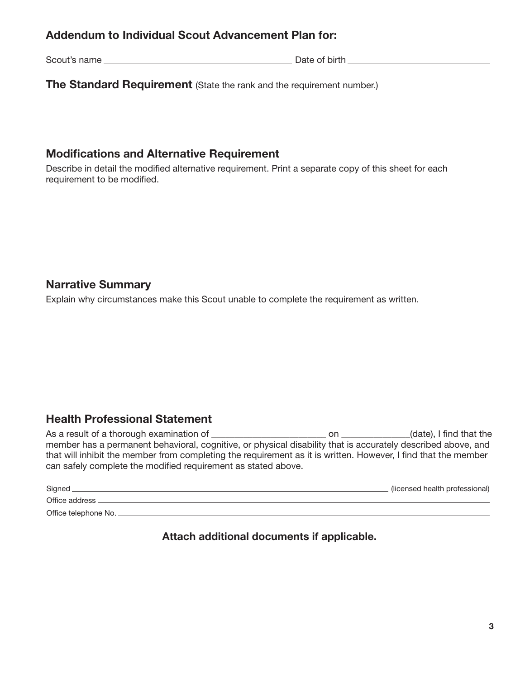## Addendum to Individual Scout Advancement Plan for:

Scout's name Date of birth

**The Standard Requirement** (State the rank and the requirement number.)

#### Modifications and Alternative Requirement

Describe in detail the modified alternative requirement. Print a separate copy of this sheet for each requirement to be modified.

#### Narrative Summary

Explain why circumstances make this Scout unable to complete the requirement as written.

## Health Professional Statement

As a result of a thorough examination of \_\_\_\_\_\_\_\_\_\_\_\_\_\_\_\_\_\_\_\_\_\_\_\_\_ on \_\_\_\_\_\_\_\_\_\_\_\_\_\_\_(date), I find that the member has a permanent behavioral, cognitive, or physical disability that is accurately described above, and that will inhibit the member from completing the requirement as it is written. However, I find that the member can safely complete the modified requirement as stated above.

| Signed               | (licensed health professional) |
|----------------------|--------------------------------|
| Office address       |                                |
| Office telephone No. |                                |

Attach additional documents if applicable.